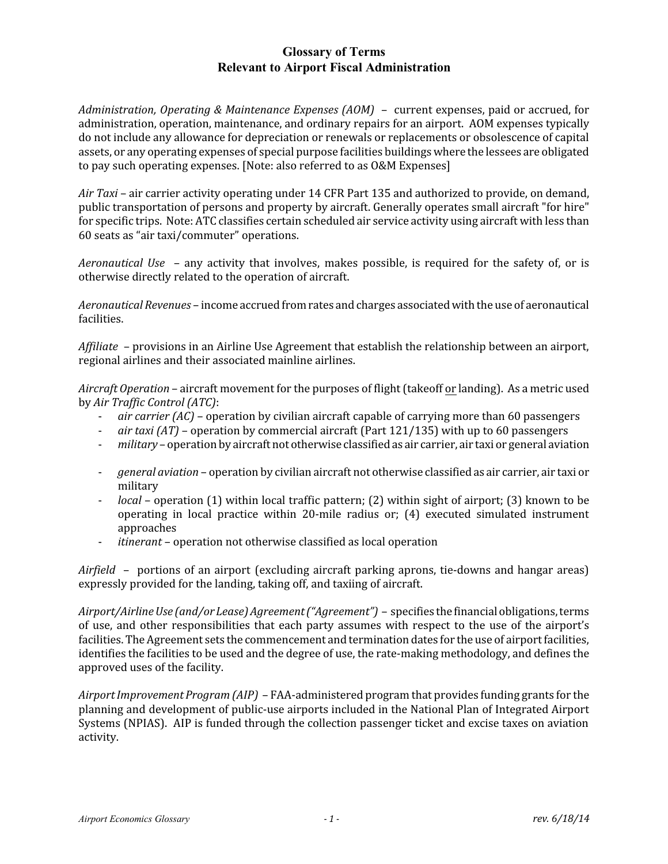## **Glossary of Terms Relevant to Airport Fiscal Administration**

*Administration, Operating & Maintenance Expenses (AOM)* – current expenses, paid or accrued, for administration, operation, maintenance, and ordinary repairs for an airport. AOM expenses typically do not include any allowance for depreciation or renewals or replacements or obsolescence of capital assets, or any operating expenses of special purpose facilities buildings where the lessees are obligated to pay such operating expenses. [Note: also referred to as O&M Expenses]

*Air Taxi* – air carrier activity operating under 14 CFR Part 135 and authorized to provide, on demand, public transportation of persons and property by aircraft. Generally operates small aircraft "for hire" for specific trips. Note: ATC classifies certain scheduled air service activity using aircraft with less than 60 seats as "air taxi/commuter" operations.

*Aeronautical Use* – any activity that involves, makes possible, is required for the safety of, or is otherwise directly related to the operation of aircraft.

*Aeronautical Revenues* – income accrued fromrates andcharges associatedwith the use of aeronautical facilities.

*Affiliate* – provisions in an Airline Use Agreement that establish the relationship between an airport, regional airlines and their associated mainline airlines.

*Aircraft Operation* – aircraft movement for the purposes of flight(takeoff or landing). As a metric used by *Air Traffic Control (ATC)*:

- *air carrier (AC)* operation by civilian aircraft capable of carrying more than 60 passengers
- *air taxi (AT)* operation by commercial aircraft (Part 121/135) with up to 60 passengers
- *military* operation by aircraft not otherwise classified as air carrier, air taxi or general aviation
- *general aviation* operation by civilian aircraft not otherwise classified as air carrier, air taxi or military
- *local* operation (1) within local traffic pattern; (2) within sight of airport; (3) known to be operating in local practice within 20-mile radius or; (4) executed simulated instrument approaches
- *itinerant* operation not otherwise classified as local operation

*Airfield* – portions of an airport (excluding aircraft parking aprons, tie-downs and hangar areas) expressly provided for the landing, taking off, and taxiing of aircraft.

*Airport/Airline Use (and/or Lease) Agreement("Agreement")* – specifies thefinancial obligations, terms of use, and other responsibilities that each party assumes with respect to the use of the airport's facilities. The Agreement sets the commencement and termination dates for the use of airport facilities, identifies the facilities to be used and the degree of use, the rate-making methodology, and defines the approved uses of the facility.

*AirportImprovementProgram (AIP)* – FAA-administered program that provides funding grants for the planning and development of public-use airports included in the National Plan of Integrated Airport Systems (NPIAS). AIP is funded through the collection passenger ticket and excise taxes on aviation activity.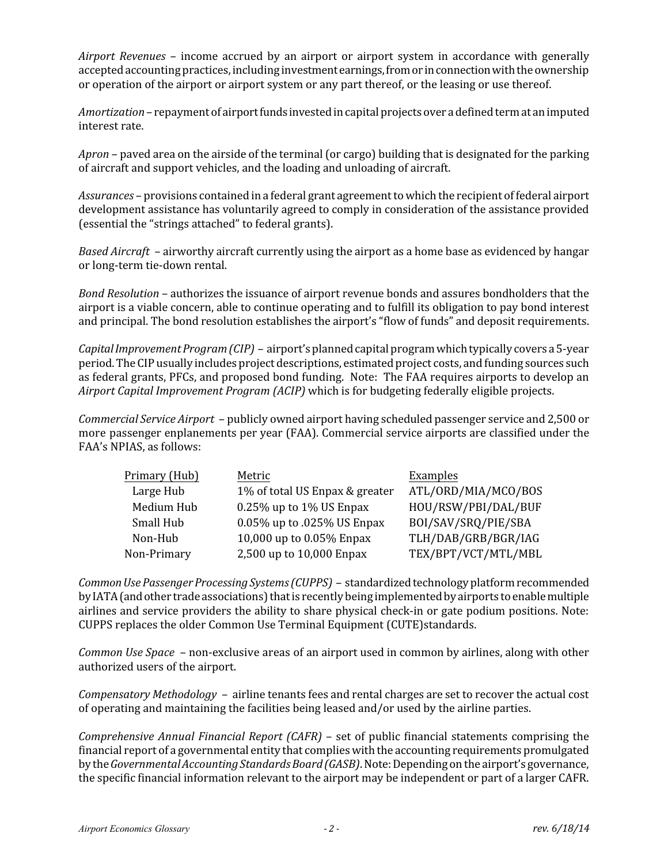*Airport Revenues* – income accrued by an airport or airport system in accordance with generally accepted accounting practices, including investment earnings, from or in connection with the ownership or operation of the airport or airport system or any part thereof, or the leasing or use thereof.

Amortization – repayment of airport funds invested in capital projects over a defined term at an imputed interest rate.

*Apron* – paved area on the airside of the terminal (or cargo) building that is designated for the parking of aircraft and support vehicles, and the loading and unloading of aircraft.

*Assurances* – provisions contained in a federal grant agreement towhich the recipient of federal airport development assistance has voluntarily agreed to comply in consideration of the assistance provided (essential the "strings attached" to federal grants).

*Based Aircraft* – airworthy aircraft currently using the airport as a home base as evidenced by hangar or long-term tie-down rental.

*Bond Resolution* – authorizes the issuance of airport revenue bonds and assures bondholders that the airport is a viable concern, able to continue operating and to fulfill its obligation to pay bond interest and principal. The bond resolution establishes the airport's "flow of funds" and deposit requirements.

*CapitalImprovementProgram (CIP)* – airport's plannedcapital program whichtypically covers a5-year period. The CIP usually includes project descriptions, estimated project costs, and funding sources such as federal grants, PFCs, and proposed bond funding. Note: The FAA requires airports to develop an *Airport Capital Improvement Program (ACIP)* which is for budgeting federally eligible projects.

*Commercial Service Airport* – publicly owned airport having scheduled passenger service and 2,500 or more passenger enplanements per year (FAA). Commercial service airports are classified under the FAA's NPIAS, as follows:

| Primary (Hub) | Metric                         | Examples            |
|---------------|--------------------------------|---------------------|
| Large Hub     | 1% of total US Enpax & greater | ATL/ORD/MIA/MCO/BOS |
| Medium Hub    | 0.25% up to 1% US Enpax        | HOU/RSW/PBI/DAL/BUF |
| Small Hub     | 0.05% up to .025% US Enpax     | BOI/SAV/SRQ/PIE/SBA |
| Non-Hub       | 10,000 up to 0.05% Enpax       | TLH/DAB/GRB/BGR/IAG |
| Non-Primary   | 2,500 up to 10,000 Enpax       | TEX/BPT/VCT/MTL/MBL |

*CommonUse Passenger Processing Systems (CUPPS)* – standardizedtechnology platform recommended byIATA(andother trade associations) that is recently being implementedby airports toenablemultiple airlines and service providers the ability to share physical check-in or gate podium positions. Note: CUPPS replaces the older Common Use Terminal Equipment (CUTE)standards.

*Common Use Space* – non-exclusive areas of an airport used in common by airlines, along with other authorized users of the airport.

*Compensatory Methodology* – airline tenants fees and rental charges are set to recover the actual cost of operating and maintaining the facilities being leased and/or used by the airline parties.

*Comprehensive Annual Financial Report (CAFR)* – set of public financial statements comprising the financial report of a governmental entity that complies with the accounting requirements promulgated by the*GovernmentalAccounting Standards Board (GASB)*. Note:Depending on the airport's governance, the specific financial information relevant to the airport may be independent or part of a larger CAFR.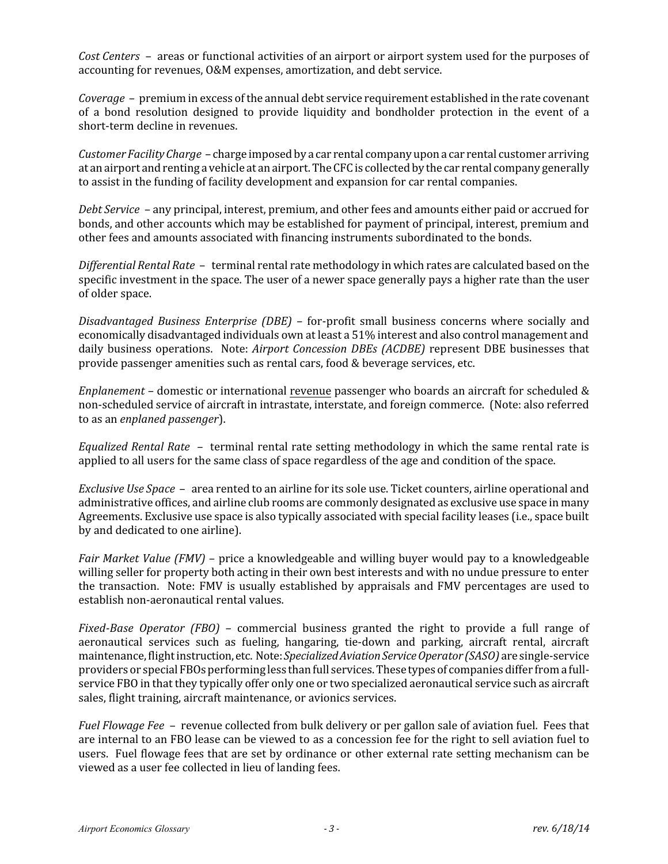*Cost Centers* – areas or functional activities of an airport or airport system used for the purposes of accounting for revenues, O&M expenses, amortization, and debt service.

*Coverage* – premium in excess of the annual debt service requirement established in the rate covenant of a bond resolution designed to provide liquidity and bondholder protection in the event of a short-term decline in revenues.

*Customer Facility Charge - charge imposed by a car rental company upon a car rental customer arriving* at an airport and renting a vehicle at an airport. The CFC is collected by the car rental company generally to assist in the funding of facility development and expansion for car rental companies.

*Debt Service* – any principal, interest, premium, and other fees and amounts either paid or accrued for bonds, and other accounts which may be established for payment of principal, interest, premium and other fees and amounts associated with financing instruments subordinated to the bonds.

*Differential Rental Rate* – terminal rental rate methodology in which rates are calculated based on the specific investment in the space. The user of a newer space generally pays a higher rate than the user of older space.

*Disadvantaged Business Enterprise (DBE)* – for-profit small business concerns where socially and economically disadvantaged individuals own at least a 51% interest and also control management and daily business operations. Note: *Airport Concession DBEs (ACDBE)* represent DBE businesses that provide passenger amenities such as rental cars, food & beverage services, etc.

*Enplanement* – domestic or international revenue passenger who boards an aircraft for scheduled & non-scheduled service of aircraft in intrastate, interstate, and foreign commerce. (Note: also referred to as an *enplaned passenger*).

*Equalized Rental Rate* – terminal rental rate setting methodology in which the same rental rate is applied to all users for the same class of space regardless of the age and condition of the space.

*Exclusive Use Space* – area rented to an airline for its sole use. Ticket counters, airline operational and administrative offices, and airline club rooms are commonly designated as exclusive use space in many Agreements. Exclusive use space is also typically associated with special facility leases (i.e., space built by and dedicated to one airline).

*Fair Market Value (FMV)* – price a knowledgeable and willing buyer would pay to a knowledgeable willing seller for property both acting in their own best interests and with no undue pressure to enter the transaction. Note: FMV is usually established by appraisals and FMV percentages are used to establish non-aeronautical rental values.

*Fixed-Base Operator (FBO)* – commercial business granted the right to provide a full range of aeronautical services such as fueling, hangaring, tie-down and parking, aircraft rental, aircraft maintenance, flight instruction, etc. Note:*SpecializedAviationServiceOperator (SASO)* are single-service providers or special FBOs performing less than full services. Thesetypes of companies differ from a fullservice FBO in that they typically offer only one or two specialized aeronautical service such as aircraft sales, flight training, aircraft maintenance, or avionics services.

*Fuel Flowage Fee* – revenue collected from bulk delivery or per gallon sale of aviation fuel. Fees that are internal to an FBO lease can be viewed to as a concession fee for the right to sell aviation fuel to users. Fuel flowage fees that are set by ordinance or other external rate setting mechanism can be viewed as a user fee collected in lieu of landing fees.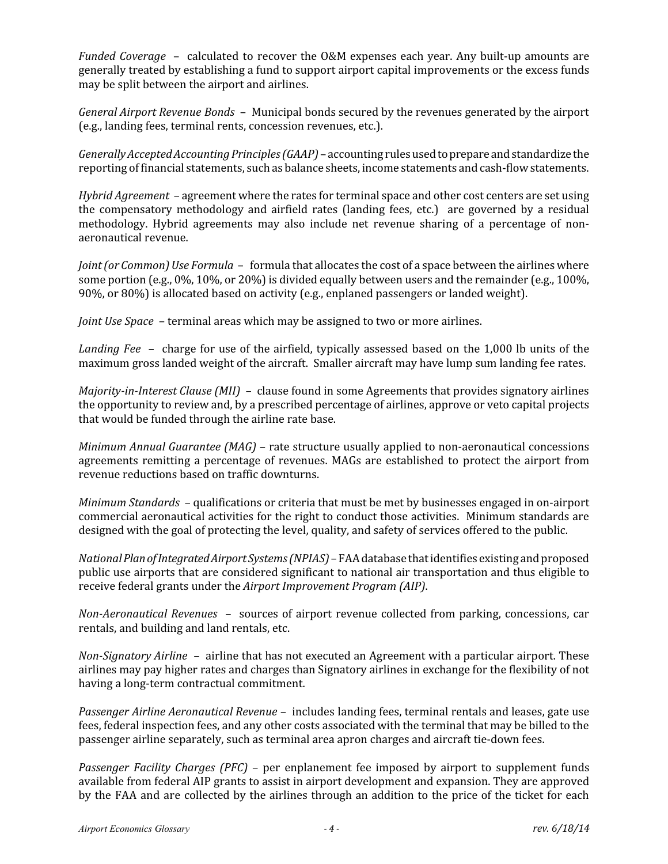*Funded Coverage* – calculated to recover the O&M expenses each year. Any built-up amounts are generally treated by establishing a fund to support airport capital improvements or the excess funds may be split between the airport and airlines.

*General Airport Revenue Bonds* – Municipal bonds secured by the revenues generated by the airport (e.g., landing fees, terminal rents, concession revenues, etc.).

*Generally Accepted Accounting Principles (GAAP)* – accounting rules usedtoprepareandstandardize the reporting of financial statements, such as balance sheets, income statements and cash-flowstatements.

*Hybrid Agreement* – agreement where the rates for terminal space and other cost centers are set using the compensatory methodology and airfield rates (landing fees, etc.) are governed by a residual methodology. Hybrid agreements may also include net revenue sharing of a percentage of nonaeronautical revenue.

*Joint(or Common) Use Formula* – formula that allocates the cost of a space between the airlines where some portion (e.g., 0%, 10%, or 20%) is divided equally between users and the remainder (e.g., 100%, 90%, or 80%) is allocated based on activity (e.g., enplaned passengers or landed weight).

*Joint Use Space* – terminal areas which may be assigned to two or more airlines.

*Landing Fee* – charge for use of the airfield, typically assessed based on the 1,000 lb units of the maximum gross landed weight of the aircraft. Smaller aircraft may have lump sum landing fee rates.

*Majority-in-Interest Clause (MII)* – clause found in some Agreements that provides signatory airlines the opportunity to review and, by a prescribed percentage of airlines, approve or veto capital projects that would be funded through the airline rate base.

*Minimum Annual Guarantee (MAG)* – rate structure usually applied to non-aeronautical concessions agreements remitting a percentage of revenues. MAGs are established to protect the airport from revenue reductions based on traffic downturns.

*Minimum Standards* – qualifications or criteria that must be met by businesses engaged in on-airport commercial aeronautical activities for the right to conduct those activities. Minimum standards are designed with the goal of protecting the level, quality, and safety of services offered to the public.

*NationalPlanofIntegratedAirport Systems (NPIAS)*– FAA databasethat identifies existing andproposed public use airports that are considered significant to national air transportation and thus eligible to receive federal grants under the *Airport Improvement Program (AIP)*.

*Non-Aeronautical Revenues* – sources of airport revenue collected from parking, concessions, car rentals, and building and land rentals, etc.

*Non-Signatory Airline* – airline that has not executed an Agreement with a particular airport. These airlines may pay higher rates and charges than Signatory airlines in exchange for the flexibility of not having a long-term contractual commitment.

*Passenger Airline Aeronautical Revenue* – includes landing fees, terminal rentals and leases, gate use fees, federal inspection fees, and any other costs associated with the terminal that may be billed to the passenger airline separately, such as terminal area apron charges and aircraft tie-down fees.

*Passenger Facility Charges (PFC)* – per enplanement fee imposed by airport to supplement funds available from federal AIP grants to assist in airport development and expansion. They are approved by the FAA and are collected by the airlines through an addition to the price of the ticket for each